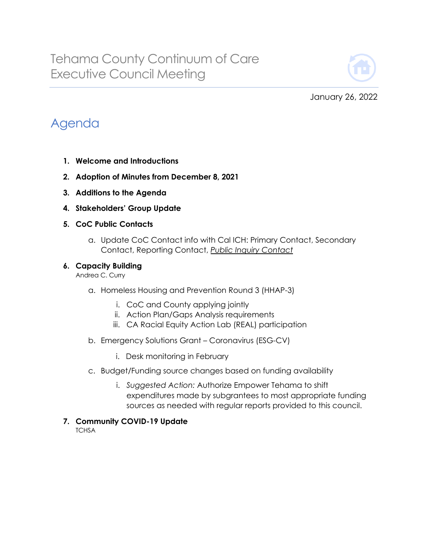

January 26, 2022

## Agenda

- **1. Welcome and Introductions**
- **2. Adoption of Minutes from December 8, 2021**
- **3. Additions to the Agenda**
- **4. Stakeholders' Group Update**
- **5. CoC Public Contacts**
	- a. Update CoC Contact info with Cal ICH: Primary Contact, Secondary Contact, Reporting Contact, *Public Inquiry Contact*

## **6. Capacity Building**

Andrea C. Curry

- a. Homeless Housing and Prevention Round 3 (HHAP-3)
	- i. CoC and County applying jointly
	- ii. Action Plan/Gaps Analysis requirements
	- iii. CA Racial Equity Action Lab (REAL) participation
- b. Emergency Solutions Grant Coronavirus (ESG-CV)
	- i. Desk monitoring in February
- c. Budget/Funding source changes based on funding availability
	- i. *Suggested Action:* Authorize Empower Tehama to shift expenditures made by subgrantees to most appropriate funding sources as needed with regular reports provided to this council.
- **7. Community COVID-19 Update**

**TCHSA**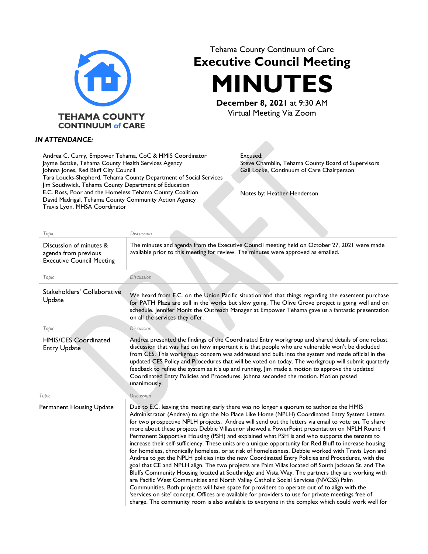

## Tehama County Continuum of Care **Executive Council Meeting**

**MINUTES December 8, 2021** at 9:30 AM

Virtual Meeting Via Zoom

## *IN ATTENDANCE:*

Andrea C. Curry, Empower Tehama, CoC & HMIS Coordinator Jayme Bottke, Tehama County Health Services Agency Johnna Jones, Red Bluff City Council Tara Loucks-Shepherd, Tehama County Department of Social Services Jim Southwick, Tehama County Department of Education E.C. Ross, Poor and the Homeless Tehama County Coalition David Madrigal, Tehama County Community Action Agency Travis Lyon, MHSA Coordinator

Excused: Steve Chamblin, Tehama County Board of Supervisors Gail Locke, Continuum of Care Chairperson

Notes by: Heather Henderson

| Topic                                                                               | <b>Discussion</b>                                                                                                                                                                                                                                                                                                                                                                                                                                                                                                                                                                                                                                                                                                                                                                                                                                                                                                                                                                                                                                                                                                                                                                                                                                                                                                                                                                                                                  |
|-------------------------------------------------------------------------------------|------------------------------------------------------------------------------------------------------------------------------------------------------------------------------------------------------------------------------------------------------------------------------------------------------------------------------------------------------------------------------------------------------------------------------------------------------------------------------------------------------------------------------------------------------------------------------------------------------------------------------------------------------------------------------------------------------------------------------------------------------------------------------------------------------------------------------------------------------------------------------------------------------------------------------------------------------------------------------------------------------------------------------------------------------------------------------------------------------------------------------------------------------------------------------------------------------------------------------------------------------------------------------------------------------------------------------------------------------------------------------------------------------------------------------------|
| Discussion of minutes &<br>agenda from previous<br><b>Executive Council Meeting</b> | The minutes and agenda from the Executive Council meeting held on October 27, 2021 were made<br>available prior to this meeting for review. The minutes were approved as emailed.                                                                                                                                                                                                                                                                                                                                                                                                                                                                                                                                                                                                                                                                                                                                                                                                                                                                                                                                                                                                                                                                                                                                                                                                                                                  |
| Topic                                                                               | <b>Discussion</b>                                                                                                                                                                                                                                                                                                                                                                                                                                                                                                                                                                                                                                                                                                                                                                                                                                                                                                                                                                                                                                                                                                                                                                                                                                                                                                                                                                                                                  |
| Stakeholders' Collaborative<br>Update                                               | We heard from E.C. on the Union Pacific situation and that things regarding the easement purchase<br>for PATH Plaza are still in the works but slow going. The Olive Grove project is going well and on<br>schedule. Jennifer Moniz the Outreach Manager at Empower Tehama gave us a fantastic presentation<br>on all the services they offer.                                                                                                                                                                                                                                                                                                                                                                                                                                                                                                                                                                                                                                                                                                                                                                                                                                                                                                                                                                                                                                                                                     |
| Topic                                                                               | <b>Discussion</b>                                                                                                                                                                                                                                                                                                                                                                                                                                                                                                                                                                                                                                                                                                                                                                                                                                                                                                                                                                                                                                                                                                                                                                                                                                                                                                                                                                                                                  |
| <b>HMIS/CES Coordinated</b><br><b>Entry Update</b>                                  | Andrea presented the findings of the Coordinated Entry workgroup and shared details of one robust<br>discussion that was had on how important it is that people who are vulnerable won't be discluded<br>from CES. This workgroup concern was addressed and built into the system and made official in the<br>updated CES Policy and Procedures that will be voted on today. The workgroup will submit quarterly<br>feedback to refine the system as it's up and running. Jim made a motion to approve the updated<br>Coordinated Entry Policies and Procedures. Johnna seconded the motion. Motion passed<br>unanimously.                                                                                                                                                                                                                                                                                                                                                                                                                                                                                                                                                                                                                                                                                                                                                                                                         |
| Topic                                                                               | <b>Discussion</b>                                                                                                                                                                                                                                                                                                                                                                                                                                                                                                                                                                                                                                                                                                                                                                                                                                                                                                                                                                                                                                                                                                                                                                                                                                                                                                                                                                                                                  |
| Permanent Housing Update                                                            | Due to E.C. leaving the meeting early there was no longer a quorum to authorize the HMIS<br>Administrator (Andrea) to sign the No Place Like Home (NPLH) Coordinated Entry System Letters<br>for two prospective NPLH projects. Andrea will send out the letters via email to vote on. To share<br>more about these projects Debbie Villasenor showed a PowerPoint presentation on NPLH Round 4<br>Permanent Supportive Housing (PSH) and explained what PSH is and who supports the tenants to<br>increase their self-sufficiency. These units are a unique opportunity for Red Bluff to increase housing<br>for homeless, chronically homeless, or at risk of homelessness. Debbie worked with Travis Lyon and<br>Andrea to get the NPLH policies into the new Coordinated Entry Policies and Procedures, with the<br>goal that CE and NPLH align. The two projects are Palm Villas located off South Jackson St. and The<br>Bluffs Community Housing located at Southridge and Vista Way. The partners they are working with<br>are Pacific West Communities and North Valley Catholic Social Services (NVCSS) Palm<br>Communities. Both projects will have space for providers to operate out of to align with the<br>'services on site' concept. Offices are available for providers to use for private meetings free of<br>charge. The community room is also available to everyone in the complex which could work well for |